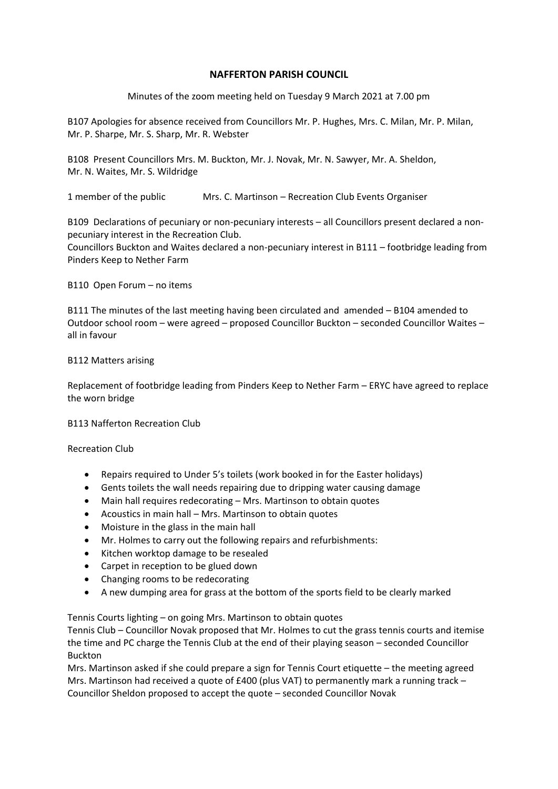## **NAFFERTON PARISH COUNCIL**

Minutes of the zoom meeting held on Tuesday 9 March 2021 at 7.00 pm

B107 Apologies for absence received from Councillors Mr. P. Hughes, Mrs. C. Milan, Mr. P. Milan, Mr. P. Sharpe, Mr. S. Sharp, Mr. R. Webster

B108 Present Councillors Mrs. M. Buckton, Mr. J. Novak, Mr. N. Sawyer, Mr. A. Sheldon, Mr. N. Waites, Mr. S. Wildridge

1 member of the public Mrs. C. Martinson – Recreation Club Events Organiser

B109 Declarations of pecuniary or non-pecuniary interests – all Councillors present declared a nonpecuniary interest in the Recreation Club.

Councillors Buckton and Waites declared a non-pecuniary interest in B111 – footbridge leading from Pinders Keep to Nether Farm

B110 Open Forum – no items

B111 The minutes of the last meeting having been circulated and amended – B104 amended to Outdoor school room – were agreed – proposed Councillor Buckton – seconded Councillor Waites – all in favour

## B112 Matters arising

Replacement of footbridge leading from Pinders Keep to Nether Farm – ERYC have agreed to replace the worn bridge

B113 Nafferton Recreation Club

Recreation Club

- Repairs required to Under 5's toilets (work booked in for the Easter holidays)
- Gents toilets the wall needs repairing due to dripping water causing damage
- Main hall requires redecorating Mrs. Martinson to obtain quotes
- Acoustics in main hall Mrs. Martinson to obtain quotes
- Moisture in the glass in the main hall
- Mr. Holmes to carry out the following repairs and refurbishments:
- Kitchen worktop damage to be resealed
- Carpet in reception to be glued down
- Changing rooms to be redecorating
- A new dumping area for grass at the bottom of the sports field to be clearly marked

Tennis Courts lighting – on going Mrs. Martinson to obtain quotes

Tennis Club – Councillor Novak proposed that Mr. Holmes to cut the grass tennis courts and itemise the time and PC charge the Tennis Club at the end of their playing season – seconded Councillor Buckton

Mrs. Martinson asked if she could prepare a sign for Tennis Court etiquette – the meeting agreed Mrs. Martinson had received a quote of £400 (plus VAT) to permanently mark a running track – Councillor Sheldon proposed to accept the quote – seconded Councillor Novak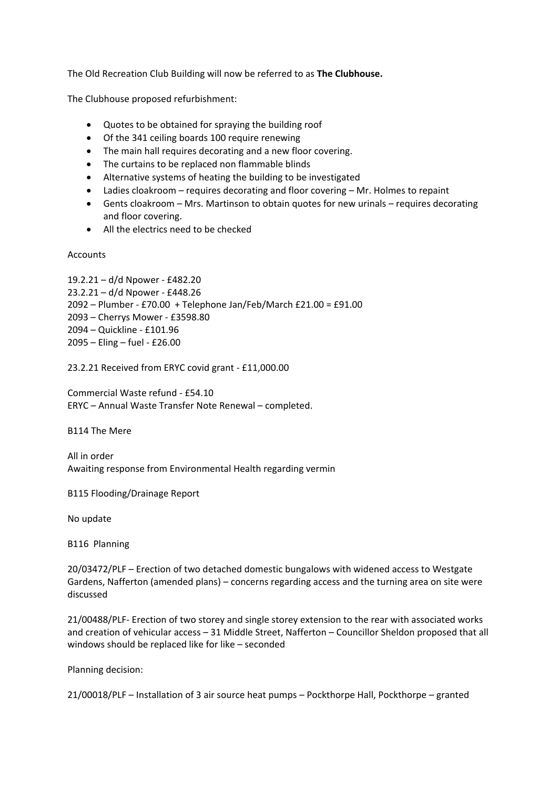The Old Recreation Club Building will now be referred to as **The Clubhouse.**

The Clubhouse proposed refurbishment:

- Quotes to be obtained for spraying the building roof
- Of the 341 ceiling boards 100 require renewing
- The main hall requires decorating and a new floor covering.
- The curtains to be replaced non flammable blinds
- Alternative systems of heating the building to be investigated
- Ladies cloakroom requires decorating and floor covering Mr. Holmes to repaint
- Gents cloakroom Mrs. Martinson to obtain quotes for new urinals requires decorating and floor covering.
- All the electrics need to be checked

Accounts

```
19.2.21 – d/d Npower - £482.20
23.2.21 – d/d Npower - £448.26
2092 – Plumber - £70.00 + Telephone Jan/Feb/March £21.00 = £91.00
2093 – Cherrys Mower - £3598.80
2094 – Quickline - £101.96
2095 – Eling – fuel - £26.00
```
23.2.21 Received from ERYC covid grant - £11,000.00

Commercial Waste refund - £54.10 ERYC – Annual Waste Transfer Note Renewal – completed.

B114 The Mere

All in order Awaiting response from Environmental Health regarding vermin

B115 Flooding/Drainage Report

No update

B116 Planning

20/03472/PLF – Erection of two detached domestic bungalows with widened access to Westgate Gardens, Nafferton (amended plans) – concerns regarding access and the turning area on site were discussed

21/00488/PLF- Erection of two storey and single storey extension to the rear with associated works and creation of vehicular access – 31 Middle Street, Nafferton – Councillor Sheldon proposed that all windows should be replaced like for like – seconded

Planning decision:

21/00018/PLF – Installation of 3 air source heat pumps – Pockthorpe Hall, Pockthorpe – granted